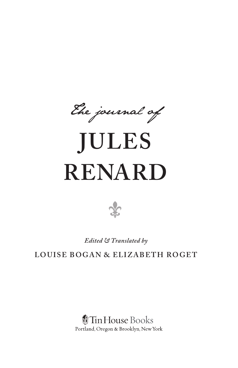



*Edited & Translated by* 

# **LOUISE BOGAN & ELIZABETH ROGET**

**MTin House Books** Portland, Oregon & Brooklyn, New York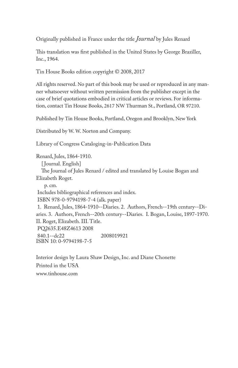Originally published in France under the title *Journal* by Jules Renard

This translation was first published in the United States by George Braziller, Inc., 1964.

Tin House Books edition copyright © 2008, 2017

All rights reserved. No part of this book may be used or reproduced in any manner whatsoever without written permission from the publisher except in the case of brief quotations embodied in critical articles or reviews. For information, contact Tin House Books, 2617 NW Thurman St., Portland, OR 97210.

Published by Tin House Books, Portland, Oregon and Brooklyn, New York

Distributed by W. W. Norton and Company.

Library of Congress Cataloging-in-Publication Data

Renard, Jules, 1864-1910.

[ Journal. English]

 The Journal of Jules Renard / edited and translated by Louise Bogan and Elizabeth Roget.

 p. cm. Includes bibliographical references and index. ISBN 978-0-9794198-7-4 (alk. paper) 1. Renard, Jules, 1864-1910--Diaries. 2. Authors, French--19th century--Diaries. 3. Authors, French--20th century--Diaries. I. Bogan, Louise, 1897-1970. II. Roget, Elizabeth. III. Title. PQ2635.E48Z4613 2008 840.1--dc22 2008019921 ISBN 10: 0-9794198-7-5

Interior design by Laura Shaw Design, Inc. and Diane Chonette Printed in the USA www.tinhouse.com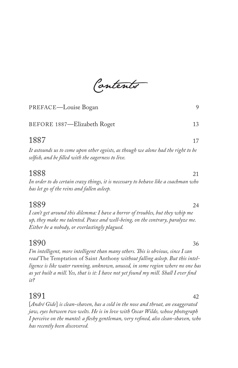Contents

PREFACE—Louise Bogan 9

# BEFORE 1887—Elizabeth Roget 13

# 1887 17

*It astounds us to come upon other egoists, as though we alone had the right to be selfish, and be filled with the eagerness to live.*

1888 21 *In order to do certain crazy things, it is necessary to behave like a coachman who has let go of the reins and fallen asleep.*

1889 24 *I can't get around this dilemma: I have a horror of troubles, but they whip me up, they make me talented. Peace and well-being, on the contrary, paralyze me. Either be a nobody, or everlastingly plagued.*

1890 <sup>36</sup> *I'm intelligent, more intelligent than many others. This is obvious, since I can read* The Temptation of Saint Anthony *without falling asleep. But this intelligence is like water running, unknown, unused, in some region where no one has as yet built a mill. Yes, that is it: I have not yet found my mill. Shall I ever find it?*

1891 42 [*André Gide*] *is clean-shaven, has a cold in the nose and throat, an exaggerated jaw, eyes between two welts. He is in love with Oscar Wilde, whose photograph I perceive on the mantel: a fleshy gentleman, very refined, also clean-shaven, who has recently been discovered.*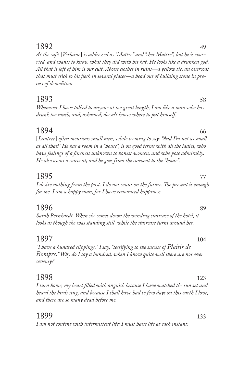1892 49 *At the café,* [*Verlaine*] *is addressed as "Maître" and "cher Maître", but he is worried, and wants to know what they did with his hat. He looks like a drunken god. All that is left of him is our cult. Above clothes in ruins—a yellow tie, an overcoat that must stick to his flesh in several places—a head out of building stone in process of demolition.* 

1893 58 *Whenever I have talked to anyone at too great length, I am like a man who has drunk too much, and, ashamed, doesn't know where to put himself.*

 $1894$  66 [*Lautrec*] *often mentions small men, while seeming to say: "And I'm not as small as all that!" He has a room in a "house", is on good terms with all the ladies, who have feelings of a fineness unknown to honest women, and who pose admirably. He also owns a convent, and he goes from the convent to the "house".*

 $1895$   $77$ *I desire nothing from the past. I do not count on the future. The present is enough for me. I am a happy man, for I have renounced happiness.*

 $1896$  89 *Sarah Bernhardt. When she comes down the winding staircase of the hotel, it looks as though she was standing still, while the staircase turns around her.*

1897 104 *"I have a hundred clippings," I say, "testifying to the success of Plaisir de Rompre." Why do I say a hundred, when I know quite well there are not over seventy?*

1898 123 *I turn home, my heart filled with anguish because I have watched the sun set and heard the birds sing, and because I shall have had so few days on this earth I love, and there are so many dead before me.*

# 1899 133 *I am not content with intermittent life: I must have life at each instant.*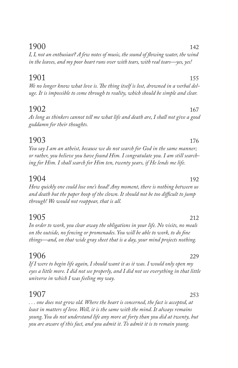1900 142 *I, I, not an enthusiast? A few notes of music, the sound of flowing water, the wind in the leaves, and my poor heart runs over with tears, with real tears—yes, yes!*

1901 155 *We no longer know what love is. The thing itself is lost, drowned in a verbal deluge. It is impossible to come through to reality, which should be simple and clear.*

 $1902$  167 *As long as thinkers cannot tell me what life and death are, I shall not give a good goddamn for their thoughts.*

1903 176 You say I am an atheist, because we do not search for God in the same manner; *or rather, you believe you have found Him. I congratulate you. I am still searching for Him. I shall search for Him ten, twenty years, if He lends me life.*

1904 192 *How quickly one could lose one's head! Any moment, there is nothing between us and death but the paper hoop of the clown. It should not be too difficult to jump through! We would not reappear, that is all.*

1905 212 *In order to work, you clear away the obligations in your life. No visits, no meals on the outside, no fencing or promenades. You will be able to work, to do fine things—and, on that wide gray sheet that is a day, your mind projects nothing.*

1906 229 *If I were to begin life again, I should want it as it was. I would only open my eyes a little more. I did not see properly, and I did not see everything in that little universe in which I was feeling my way.*

1907 253 *. . . one does not grow old. Where the heart is concerned, the fact is accepted, at least in matters of love. Well, it is the same with the mind. It always remains young. You do not understand life any more at forty than you did at twenty, but you are aware of this fact, and you admit it. To admit it is to remain young.*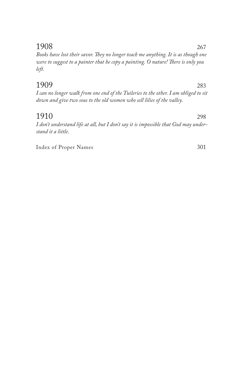1908 267 *Books have lost their savor. They no longer teach me anything. It is as though one were to suggest to a painter that he copy a painting. O nature! There is only you left.*

1909 283 *I can no longer walk from one end of the Tuileries to the other. I am obliged to sit down and give two sous to the old women who sell lilies of the valley.*

1910 298 *I don't understand life at all, but I don't say it is impossible that God may understand it a little.*

Index of Proper Names 301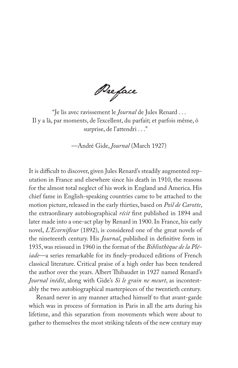Preface

"Je lis avec ravissement le *Journal* de Jules Renard . . . Il y a là, par moments, de l'excellent, du parfait; et parfois même, ô surprise, de l'attendri . . ."

—André Gide, *Journal* (March 1927)

It is difficult to discover, given Jules Renard's steadily augmented reputation in France and elsewhere since his death in 1910, the reasons for the almost total neglect of his work in England and America. His chief fame in English-speaking countries came to be attached to the motion picture, released in the early thirties, based on *Poil de Carotte*, the extraordinary autobiographical *récit* first published in 1894 and later made into a one-act play by Renard in 1900. In France, his early novel, *L'Ecornifleur* (1892), is considered one of the great novels of the nineteenth century. His *Journal*, published in definitive form in 1935, was reissued in 1960 in the format of the *Bibliothèque de la Pléiade*—a series remarkable for its finely-produced editions of French classical literature. Critical praise of a high order has been tendered the author over the years. Albert Thibaudet in 1927 named Renard's *Journal inédit*, along with Gide's *Si le grain ne meurt*, as incontestably the two autobiographical masterpieces of the twentieth century.

Renard never in any manner attached himself to that avant-garde which was in process of formation in Paris in all the arts during his lifetime, and this separation from movements which were about to gather to themselves the most striking talents of the new century may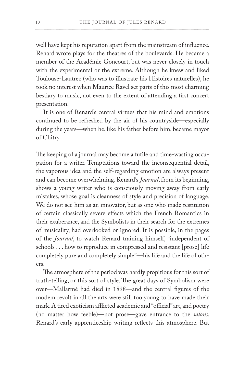well have kept his reputation apart from the mainstream of influence. Renard wrote plays for the theatres of the boulevards. He became a member of the Académie Goncourt, but was never closely in touch with the experimental or the extreme. Although he knew and liked Toulouse-Lautrec (who was to illustrate his Histoires naturelles), he took no interest when Maurice Ravel set parts of this most charming bestiary to music, not even to the extent of attending a first concert presentation.

It is one of Renard's central virtues that his mind and emotions continued to be refreshed by the air of his countryside—especially during the years—when he, like his father before him, became mayor of Chitry.

The keeping of a journal may become a futile and time-wasting occupation for a writer. Temptations toward the inconsequential detail, the vaporous idea and the self-regarding emotion are always present and can become overwhelming. Renard's *Journal*, from its beginning, shows a young writer who is consciously moving away from early mistakes, whose goal is cleanness of style and precision of language. We do not see him as an innovator, but as one who made restitution of certain classically severe effects which the French Romantics in their exuberance, and the Symbolists in their search for the extremes of musicality, had overlooked or ignored. It is possible, in the pages of the *Journal*, to watch Renard training himself, "independent of schools . . . how to reproduce in compressed and resistant [prose] life completely pure and completely simple"—his life and the life of others.

The atmosphere of the period was hardly propitious for this sort of truth-telling, or this sort of style. The great days of Symbolism were over—Mallarmé had died in 1898—and the central figures of the modem revolt in all the arts were still too young to have made their mark. A tired exoticism afflicted academic and "official" art, and poetry (no matter how feeble)—not prose—gave entrance to the *salons*. Renard's early apprenticeship writing reflects this atmosphere. But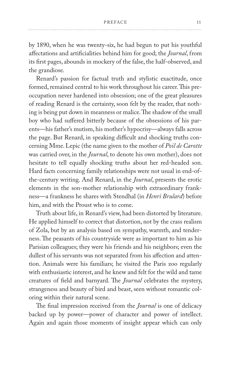by 1890, when he was twenty-six, he had begun to put his youthful affectations and artificialities behind him for good; the *Journal*, from its first pages, abounds in mockery of the false, the half-observed, and the grandiose.

Renard's passion for factual truth and stylistic exactitude, once formed, remained central to his work throughout his career. This preoccupation never hardened into obsession; one of the great pleasures of reading Renard is the certainty, soon felt by the reader, that nothing is being put down in meanness or malice. The shadow of the small boy who had suffered bitterly because of the obsessions of his parents—his father's mutism, his mother's hypocrisy—always falls across the page. But Renard, in speaking difficult and shocking truths concerning Mme. Lepic (the name given to the mother of *Poil de Carotte* was carried over, in the *Journal*, to denote his own mother), does not hesitate to tell equally shocking truths about her red-headed son. Hard facts concerning family relationships were not usual in end-ofthe-century writing. And Renard, in the *Journal*, presents the erotic elements in the son-mother relationship with extraordinary frankness—a frankness he shares with Stendhal (in *Henri Brulard*) before him, and with the Proust who is to come.

Truth about life, in Renard's view, had been distorted by literature. He applied himself to correct that distortion, not by the crass realism of Zola, but by an analysis based on sympathy, warmth, and tenderness. The peasants of his countryside were as important to him as his Parisian colleagues; they were his friends and his neighbors; even the dullest of his servants was not separated from his affection and attention. Animals were his familiars; he visited the Paris zoo regularly with enthusiastic interest, and he knew and felt for the wild and tame creatures of field and barnyard. The *Journal* celebrates the mystery, strangeness and beauty of bird and beast, seen without romantic coloring within their natural scene.

The final impression received from the *Journal* is one of delicacy backed up by power—power of character and power of intellect. Again and again those moments of insight appear which can only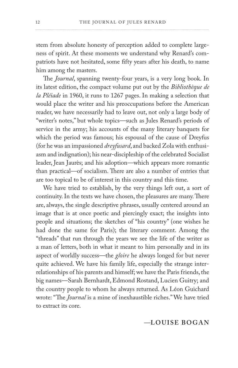stem from absolute honesty of perception added to complete largeness of spirit. At these moments we understand why Renard's compatriots have not hesitated, some fifty years after his death, to name him among the masters.

The *Journal*, spanning twenty-four years, is a very long book. In its latest edition, the compact volume put out by the *Bibliothèque de la Pléiade* in 1960, it runs to 1267 pages. In making a selection that would place the writer and his preoccupations before the American reader, we have necessarily had to leave out, not only a large body of "writer's notes," but whole topics—such as Jules Renard's periods of service in the army; his accounts of the many literary banquets for which the period was famous; his espousal of the cause of Dreyfus (for he was an impassioned *dreyfusard*, and backed Zola with enthusiasm and indignation); his near-discipleship of the celebrated Socialist leader, Jean Jaurès; and his adoption—which appears more romantic than practical—of socialism. There are also a number of entries that are too topical to be of interest in this country and this time.

We have tried to establish, by the very things left out, a sort of continuity. In the texts we have chosen, the pleasures are many. There are, always, the single descriptive phrases, usually centered around an image that is at once poetic and piercingly exact; the insights into people and situations; the sketches of "his country" (one wishes he had done the same for Paris); the literary comment. Among the "threads" that run through the years we see the life of the writer as a man of letters, both in what it meant to him personally and in its aspect of worldly success—the *gloire* he always longed for but never quite achieved. We have his family life, especially the strange interrelationships of his parents and himself; we have the Paris friends, the big names—Sarah Bernhardt, Edmond Rostand, Lucien Guitry; and the country people to whom he always returned. As Léon Guichard wrote: "The *Journal* is a mine of inexhaustible riches." We have tried to extract its core.

# —**LOUISE BOGAN**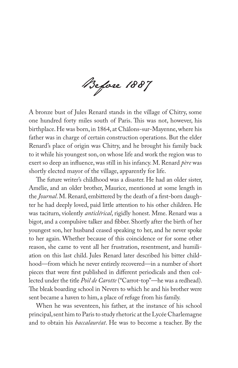Before 1887

A bronze bust of Jules Renard stands in the village of Chitry, some one hundred forty miles south of Paris. This was not, however, his birthplace. He was born, in 1864, at Châlons-sur-Mayenne, where his father was in charge of certain construction operations. But the elder Renard's place of origin was Chitry, and he brought his family back to it while his youngest son, on whose life and work the region was to exert so deep an influence, was still in his infancy. M. Renard *père* was shortly elected mayor of the village, apparently for life.

The future writer's childhood was a disaster. He had an older sister, Amélie, and an older brother, Maurice, mentioned at some length in the *Journal*. M. Renard, embittered by the death of a first-born daughter he had deeply loved, paid little attention to his other children. He was taciturn, violently *anticlérical*, rigidly honest. Mme. Renard was a bigot, and a compulsive talker and fibber. Shortly after the birth of her youngest son, her husband ceased speaking to her, and he never spoke to her again. Whether because of this coincidence or for some other reason, she came to vent all her frustration, resentment, and humiliation on this last child. Jules Renard later described his bitter childhood—from which he never entirely recovered—in a number of short pieces that were first published in different periodicals and then collected under the title *Poil de Carotte* ("Carrot-top"—he was a redhead). The bleak boarding school in Nevers to which he and his brother were sent became a haven to him, a place of refuge from his family.

When he was seventeen, his father, at the instance of his school principal, sent him to Paris to study rhetoric at the Lycée Charlemagne and to obtain his *baccalauréat*. He was to become a teacher. By the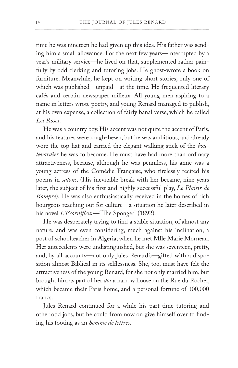time he was nineteen he had given up this idea. His father was sending him a small allowance. For the next few years—interrupted by a year's military service—he lived on that, supplemented rather painfully by odd clerking and tutoring jobs. He ghost-wrote a book on furniture. Meanwhile, he kept on writing short stories, only one of which was published—unpaid—at the time. He frequented literary cafés and certain newspaper milieux. All young men aspiring to a name in letters wrote poetry, and young Renard managed to publish, at his own expense, a collection of fairly banal verse, which he called *Les Roses*.

He was a country boy. His accent was not quite the accent of Paris, and his features were rough-hewn, but he was ambitious, and already wore the top hat and carried the elegant walking stick of the *boulevardier* he was to become. He must have had more than ordinary attractiveness, because, although he was penniless, his amie was a young actress of the Comédie Française, who tirelessly recited his poems in *salons*. (His inevitable break with her became, nine years later, the subject of his first and highly successful play, *Le Plaisir de Rompre*). He was also enthusiastically received in the homes of rich bourgeois reaching out for culture—a situation he later described in his novel *L'Ecornifleur*—"The Sponger" (1892).

He was desperately trying to find a stable situation, of almost any nature, and was even considering, much against his inclination, a post of schoolteacher in Algeria, when he met Mlle Marie Morneau. Her antecedents were undistinguished, but she was seventeen, pretty, and, by all accounts—not only Jules Renard's—gifted with a disposition almost Biblical in its selflessness. She, too, must have felt the attractiveness of the young Renard, for she not only married him, but brought him as part of her *dot* a narrow house on the Rue du Rocher, which became their Paris home, and a personal fortune of 300,000 francs.

Jules Renard continued for a while his part-time tutoring and other odd jobs, but he could from now on give himself over to finding his footing as an *homme de lettres*.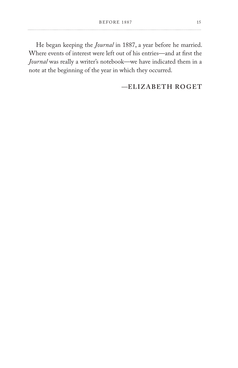He began keeping the *Journal* in 1887, a year before he married. Where events of interest were left out of his entries—and at first the *Journal* was really a writer's notebook—we have indicated them in a note at the beginning of the year in which they occurred.

# —**ELIZABETH ROGET**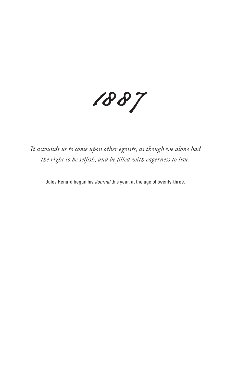1887

*It astounds us to come upon other egoists, as though we alone had the right to be selfish, and be filled with eagerness to live.*

Jules Renard began his *Journal* this year, at the age of twenty-three.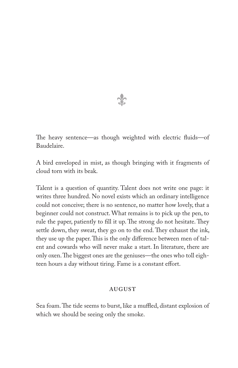N

The heavy sentence—as though weighted with electric fluids—of Baudelaire.

A bird enveloped in mist, as though bringing with it fragments of cloud torn with its beak.

Talent is a question of quantity. Talent does not write one page: it writes three hundred. No novel exists which an ordinary intelligence could not conceive; there is no sentence, no matter how lovely, that a beginner could not construct. What remains is to pick up the pen, to rule the paper, patiently to fill it up. The strong do not hesitate. They settle down, they sweat, they go on to the end. They exhaust the ink, they use up the paper. This is the only difference between men of talent and cowards who will never make a start. In literature, there are only oxen. The biggest ones are the geniuses—the ones who toll eighteen hours a day without tiring. Fame is a constant effort.

# **AUGUST**

Sea foam. The tide seems to burst, like a muffled, distant explosion of which we should be seeing only the smoke.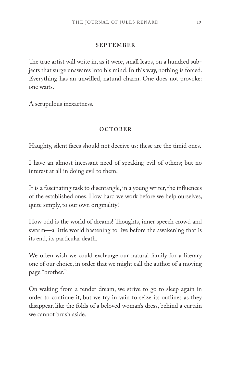### **SEPTEMBER**

The true artist will write in, as it were, small leaps, on a hundred subjects that surge unawares into his mind. In this way, nothing is forced. Everything has an unwilled, natural charm. One does not provoke: one waits.

A scrupulous inexactness.

### **OCTOBER**

Haughty, silent faces should not deceive us: these are the timid ones.

I have an almost incessant need of speaking evil of others; but no interest at all in doing evil to them.

It is a fascinating task to disentangle, in a young writer, the influences of the established ones. How hard we work before we help ourselves, quite simply, to our own originality!

How odd is the world of dreams! Thoughts, inner speech crowd and swarm—a little world hastening to live before the awakening that is its end, its particular death.

We often wish we could exchange our natural family for a literary one of our choice, in order that we might call the author of a moving page "brother."

On waking from a tender dream, we strive to go to sleep again in order to continue it, but we try in vain to seize its outlines as they disappear, like the folds of a beloved woman's dress, behind a curtain we cannot brush aside.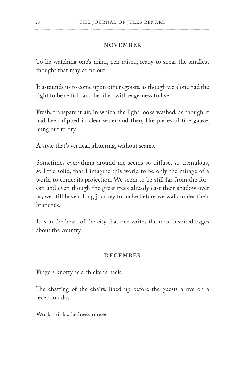# **NOVEMBER**

To lie watching one's mind, pen raised, ready to spear the smallest thought that may come out.

It astounds us to come upon other egoists, as though we alone had the right to be selfish, and be filled with eagerness to live.

Fresh, transparent air, in which the light looks washed, as though it had been dipped in clear water and then, like pieces of fine gauze, hung out to dry.

A style that's vertical, glittering, without seams.

Sometimes everything around me seems so diffuse, so tremulous, so little solid, that I imagine this world to be only the mirage of a world to come: its projection. We seem to be still far from the forest; and even though the great trees already cast their shadow over us, we still have a long journey to make before we walk under their branches.

It is in the heart of the city that one writes the most inspired pages about the country.

# **DECEMBER**

Fingers knotty as a chicken's neck.

The chatting of the chairs, lined up before the guests arrive on a reception day.

Work thinks; laziness muses.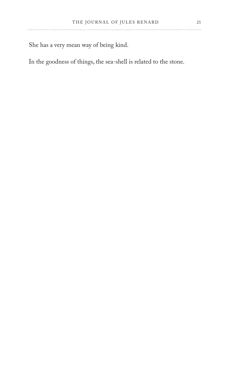She has a very mean way of being kind.

In the goodness of things, the sea-shell is related to the stone.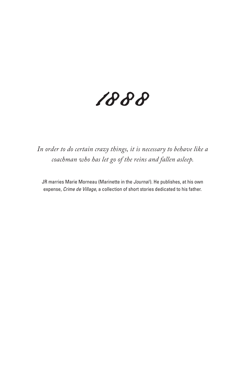1888

*In order to do certain crazy things, it is necessary to behave like a coachman who has let go of the reins and fallen asleep.*

JR marries Marie Morneau (Marinette in the *Journal* ). He publishes, at his own expense, *Crime de Village*, a collection of short stories dedicated to his father.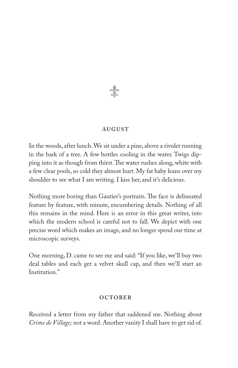

# **AUGUST**

In the woods, after lunch. We sit under a pine, above a rivulet running in the bark of a tree. A few bottles cooling in the water. Twigs dipping into it as though from thirst. The water rushes along, white with a few clear pools, so cold they almost hurt. My fat baby leans over my shoulder to see what I am writing. I kiss her, and it's delicious.

Nothing more boring than Gautier's portraits. The face is delineated feature by feature, with minute, encumbering details. Nothing of all this remains in the mind. Here is an error in this great writer, into which the modern school is careful not to fall. We depict with one precise word which makes an image, and no longer spend our time at microscopic surveys.

One morning, D. came to see me and said: "If you like, we'll buy two deal tables and each get a velvet skull cap, and then we'll start an Institution."

## **OCTOBER**

Received a letter from my father that saddened me. Nothing about *Crime de Village;* not a word. Another vanity I shall have to get rid of.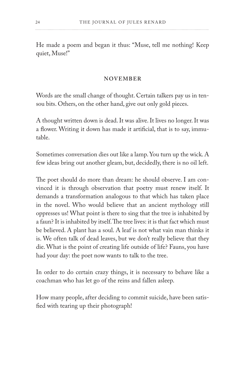He made a poem and began it thus: "Muse, tell me nothing! Keep quiet, Muse!"

### **NOVEMBER**

Words are the small change of thought. Certain talkers pay us in tensou bits. Others, on the other hand, give out only gold pieces.

A thought written down is dead. It was alive. It lives no longer. It was a flower. Writing it down has made it artificial, that is to say, immutable.

Sometimes conversation dies out like a lamp. You turn up the wick. A few ideas bring out another gleam, but, decidedly, there is no oil left.

The poet should do more than dream: he should observe. I am convinced it is through observation that poetry must renew itself. It demands a transformation analogous to that which has taken place in the novel. Who would believe that an ancient mythology still oppresses us! What point is there to sing that the tree is inhabited by a faun? It is inhabited by itself. The tree lives: it is that fact which must be believed. A plant has a soul. A leaf is not what vain man thinks it is. We often talk of dead leaves, but we don't really believe that they die. What is the point of creating life outside of life? Fauns, you have had your day: the poet now wants to talk to the tree.

In order to do certain crazy things, it is necessary to behave like a coachman who has let go of the reins and fallen asleep.

How many people, after deciding to commit suicide, have been satisfied with tearing up their photograph!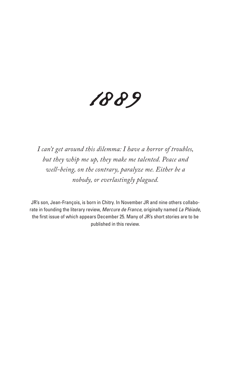1889

*I can't get around this dilemma: I have a horror of troubles, but they whip me up, they make me talented. Peace and well-being, on the contrary, paralyze me. Either be a nobody, or everlastingly plagued.*

JR's son, Jean-François, is born in Chitry. In November JR and nine others collaborate in founding the literary review, *Mercure de France*, originally named *La Pléiade*, the first issue of which appears December 25. Many of JR's short stories are to be published in this review.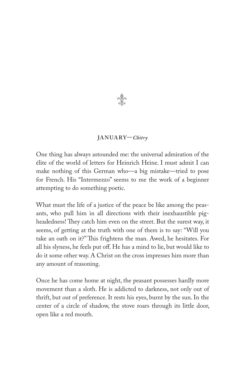

# **JANUARY—***Chitry*

One thing has always astounded me: the universal admiration of the élite of the world of letters for Heinrich Heine. I must admit I can make nothing of this German who—a big mistake—tried to pose for French. His "Intermezzo" seems to me the work of a beginner attempting to do something poetic.

What must the life of a justice of the peace be like among the peasants, who pull him in all directions with their inexhaustible pigheadedness! They catch him even on the street. But the surest way, it seems, of getting at the truth with one of them is to say: "Will you take an oath on it?" This frightens the man. Awed, he hesitates. For all his slyness, he feels put off. He has a mind to lie, but would like to do it some other way. A Christ on the cross impresses him more than any amount of reasoning.

Once he has come home at night, the peasant possesses hardly more movement than a sloth. He is addicted to darkness, not only out of thrift, but out of preference. It rests his eyes, burnt by the sun. In the center of a circle of shadow, the stove roars through its little door, open like a red mouth.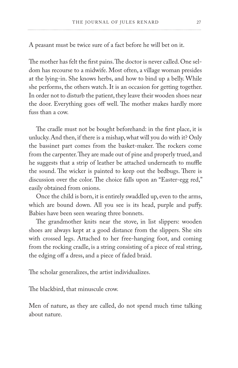A peasant must be twice sure of a fact before he will bet on it.

The mother has felt the first pains. The doctor is never called. One seldom has recourse to a midwife. Most often, a village woman presides at the lying-in. She knows herbs, and how to bind up a belly. While she performs, the others watch. It is an occasion for getting together. In order not to disturb the patient, they leave their wooden shoes near the door. Everything goes off well. The mother makes hardly more fuss than a cow.

The cradle must not be bought beforehand: in the first place, it is unlucky. And then, if there is a mishap, what will you do with it? Only the bassinet part comes from the basket-maker. The rockers come from the carpenter. They are made out of pine and properly trued, and he suggests that a strip of leather be attached underneath to muffle the sound. The wicker is painted to keep out the bedbugs. There is discussion over the color. The choice falls upon an "Easter-egg red," easily obtained from onions.

Once the child is born, it is entirely swaddled up, even to the arms, which are bound down. All you see is its head, purple and puffy. Babies have been seen wearing three bonnets.

The grandmother knits near the stove, in list slippers: wooden shoes are always kept at a good distance from the slippers. She sits with crossed legs. Attached to her free-hanging foot, and coming from the rocking cradle, is a string consisting of a piece of real string, the edging off a dress, and a piece of faded braid.

The scholar generalizes, the artist individualizes.

The blackbird, that minuscule crow.

Men of nature, as they are called, do not spend much time talking about nature.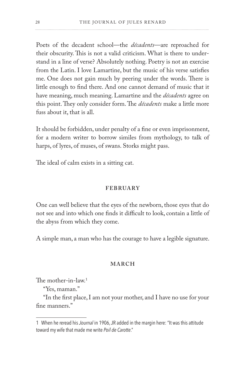Poets of the decadent school—the *décadents*—are reproached for their obscurity. This is not a valid criticism. What is there to understand in a line of verse? Absolutely nothing. Poetry is not an exercise from the Latin. I love Lamartine, but the music of his verse satisfies me. One does not gain much by peering under the words. There is little enough to find there. And one cannot demand of music that it have meaning, much meaning. Lamartine and the *décadents* agree on this point. They only consider form. The *décadents* make a little more fuss about it, that is all.

It should be forbidden, under penalty of a fine or even imprisonment, for a modern writer to borrow similes from mythology, to talk of harps, of lyres, of muses, of swans. Storks might pass.

The ideal of calm exists in a sitting cat.

### **FEBRUARY**

One can well believe that the eyes of the newborn, those eyes that do not see and into which one finds it difficult to look, contain a little of the abyss from which they come.

A simple man, a man who has the courage to have a legible signature.

### **MARCH**

The mother-in-law.1

"Yes, maman."

"In the first place, I am not your mother, and I have no use for your fine manners."

<sup>1</sup> When he reread his *Journal* in 1906, JR added in the margin here: "It was this attitude toward my wife that made me write *Poil de Carotte*."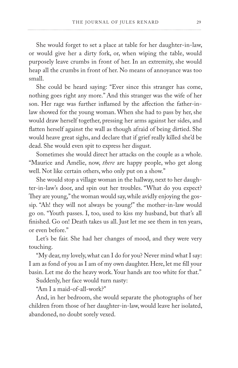She would forget to set a place at table for her daughter-in-law, or would give her a dirty fork, or, when wiping the table, would purposely leave crumbs in front of her. In an extremity, she would heap all the crumbs in front of her. No means of annoyance was too small.

She could be heard saying: "Ever since this stranger has come, nothing goes right any more." And this stranger was the wife of her son. Her rage was further inflamed by the affection the father-inlaw showed for the young woman. When she had to pass by her, she would draw herself together, pressing her arms against her sides, and flatten herself against the wall as though afraid of being dirtied. She would heave great sighs, and declare that if grief really killed she'd be dead. She would even spit to express her disgust.

Sometimes she would direct her attacks on the couple as a whole. "Maurice and Amélie, now, *there* are happy people, who get along well. Not like certain others, who only put on a show."

She would stop a village woman in the hallway, next to her daughter-in-law's door, and spin out her troubles. "What do you expect? They are young," the woman would say, while avidly enjoying the gossip. "Ah! they will not always be young!" the mother-in-law would go on. "Youth passes. I, too, used to kiss my husband, but that's all finished. Go on! Death takes us all. Just let me see them in ten years, or even before."

Let's be fair. She had her changes of mood, and they were very touching.

"My dear, my lovely, what can I do for you? Never mind what I say: I am as fond of you as I am of my own daughter. Here, let me fill your basin. Let me do the heavy work. Your hands are too white for that."

Suddenly, her face would turn nasty:

"Am I a maid-of-all-work?"

And, in her bedroom, she would separate the photographs of her children from those of her daughter-in-law, would leave her isolated, abandoned, no doubt sorely vexed.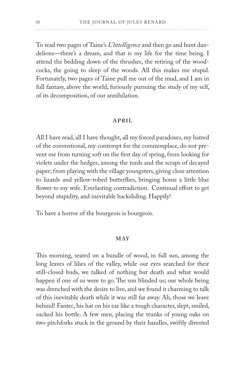To read two pages of Taine's *L'lntelligence* and then go and hunt dandelions—there's a dream, and that is my life for the time being. I attend the bedding down of the thrushes, the retiring of the woodcocks, the going to sleep of the woods. All this makes me stupid. Fortunately, two pages of Taine pull me out of the mud, and I am in full fantasy, above the world, furiously pursuing the study of my self, of its decomposition, of our annihilation.

### **APRIL**

All I have read, all I have thought, all my forced paradoxes, my hatred of the conventional, my contempt for the commonplace, do not prevent me from turning soft on the first day of spring, from looking for violets under the hedges, among the turds and the scraps of decayed paper; from playing with the village youngsters, giving close attention to lizards and yellow-robed butterflies, bringing home a little blue flower to my wife. Everlasting contradiction. Continual effort to get beyond stupidity, and inevitable backsliding. Happily!

To have a horror of the bourgeois is bourgeois.

### **M AY**

This morning, seated on a bundle of wood, in full sun, among the long leaves of lilies of the valley, while our eyes searched for their still-closed buds, we talked of nothing but death and what would happen if one of us were to go. The sun blinded us; our whole being was drenched with the desire to live, and we found it charming to talk of this inevitable death while it was still far away. Ah, those we leave behind! Fantec, his hat on his ear like a tough character, slept, smiled, sucked his bottle. A few men, placing the trunks of young oaks on two pitchforks stuck in the ground by their handles, swiftly divested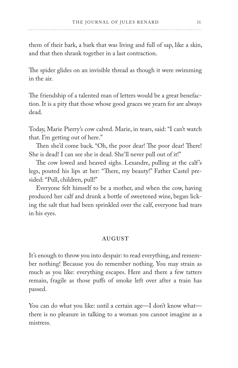them of their bark, a bark that was living and full of sap, like a skin, and that then shrank together in a last contraction.

The spider glides on an invisible thread as though it were swimming in the air.

The friendship of a talented man of letters would be a great benefaction. It is a pity that those whose good graces we yearn for are always dead.

Today, Marie Pierry's cow calved. Marie, in tears, said: "I can't watch that. I'm getting out of here."

Then she'd come back. "Oh, the poor dear! The poor dear! There! She is dead! I can see she is dead. She'll never pull out of it!"

The cow lowed and heaved sighs. Lexandre, pulling at the calf's legs, pouted his lips at her: "There, my beauty!" Father Castel presided: "Pull, children, pull!"

Everyone felt himself to be a mother, and when the cow, having produced her calf and drunk a bottle of sweetened wine, began licking the salt that had been sprinkled over the calf, everyone had tears in his eyes.

### **AUGUST**

It's enough to throw you into despair: to read everything, and remember nothing! Because you do remember nothing. You may strain as much as you like: everything escapes. Here and there a few tatters remain, fragile as those puffs of smoke left over after a train has passed.

You can do what you like: until a certain age—I don't know what there is no pleasure in talking to a woman you cannot imagine as a mistress.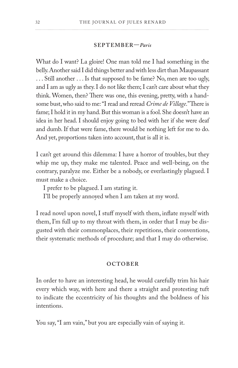### **SEPTEMBER—***Paris*

What do I want? La gloire! One man told me I had something in the belly. Another said I did things better and with less dirt than Maupassant . . . Still another . . . Is that supposed to be fame? No, men are too ugly, and I am as ugly as they. I do not like them; I can't care about what they think. Women, then? There was one, this evening, pretty, with a handsome bust, who said to me: "I read and reread *Crime de Village*." There is fame; I hold it in my hand. But this woman is a fool. She doesn't have an idea in her head. I should enjoy going to bed with her if she were deaf and dumb. If that were fame, there would be nothing left for me to do. And yet, proportions taken into account, that is all it is.

I can't get around this dilemma: I have a horror of troubles, but they whip me up, they make me talented. Peace and well-being, on the contrary, paralyze me. Either be a nobody, or everlastingly plagued. I must make a choice.

I prefer to be plagued. I am stating it.

I'll be properly annoyed when I am taken at my word.

I read novel upon novel, I stuff myself with them, inflate myself with them, I'm full up to my throat with them, in order that I may be disgusted with their commonplaces, their repetitions, their conventions, their systematic methods of procedure; and that I may do otherwise.

### **OCTOBER**

In order to have an interesting head, he would carefully trim his hair every which way, with here and there a straight and protesting tuft to indicate the eccentricity of his thoughts and the boldness of his intentions.

You say, "I am vain," but you are especially vain of saying it.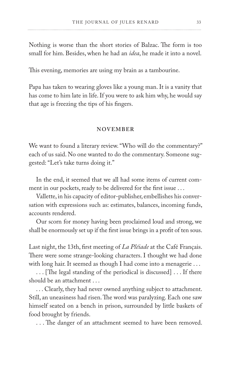Nothing is worse than the short stories of Balzac. The form is too small for him. Besides, when he had an *idea*, he made it into a novel.

This evening, memories are using my brain as a tambourine.

Papa has taken to wearing gloves like a young man. It is a vanity that has come to him late in life. If you were to ask him why, he would say that age is freezing the tips of his fingers.

## **NOVEMBER**

We want to found a literary review. "Who will do the commentary?" each of us said. No one wanted to do the commentary. Someone suggested: "Let's take turns doing it."

In the end, it seemed that we all had some items of current comment in our pockets, ready to be delivered for the first issue . . .

Vallette, in his capacity of editor-publisher, embellishes his conversation with expressions such as: estimates, balances, incoming funds, accounts rendered.

Our scorn for money having been proclaimed loud and strong, we shall be enormously set up if the first issue brings in a profit of ten sous.

Last night, the 13th, first meeting of *La Pléiade* at the Café Français. There were some strange-looking characters. I thought we had done with long hair. It seemed as though I had come into a menagerie ...

. . . [The legal standing of the periodical is discussed] . . . If there should be an attachment . . .

. . . Clearly, they had never owned anything subject to attachment. Still, an uneasiness had risen. The word was paralyzing. Each one saw himself seated on a bench in prison, surrounded by little baskets of food brought by friends.

. . . The danger of an attachment seemed to have been removed.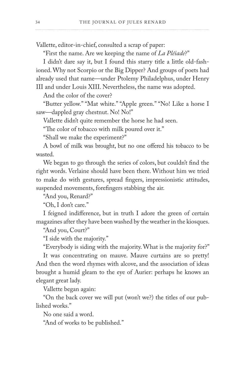Vallette, editor-in-chief, consulted a scrap of paper:

"First the name. Are we keeping the name of *La Pléiade*?"

I didn't dare say it, but I found this starry title a little old-fashioned. Why not Scorpio or the Big Dipper? And groups of poets had already used that name—under Ptolemy Philadelphus, under Henry III and under Louis XIII. Nevertheless, the name was adopted.

And the color of the cover?

"Butter yellow." "Mat white." "Apple green." "No! Like a horse I saw—dappled gray chestnut. No! No!"

Vallette didn't quite remember the horse he had seen.

"The color of tobacco with milk poured over it."

"Shall we make the experiment?"

A bowl of milk was brought, but no one offered his tobacco to be wasted.

We began to go through the series of colors, but couldn't find the right words. Verlaine should have been there. Without him we tried to make do with gestures, spread fingers, impressionistic attitudes, suspended movements, forefingers stabbing the air.

"And you, Renard?"

"Oh, I don't care."

I feigned indifference, but in truth I adore the green of certain magazines after they have been washed by the weather in the kiosques.

"And you, Court?"

"I side with the majority."

"Everybody is siding with the majority. What is the majority for?"

It was concentrating on mauve. Mauve curtains are so pretty! And then the word rhymes with alcove, and the association of ideas brought a humid gleam to the eye of Aurier: perhaps he knows an elegant great lady.

Vallette began again:

"On the back cover we will put (won't we?) the titles of our published works."

No one said a word.

"And of works to be published."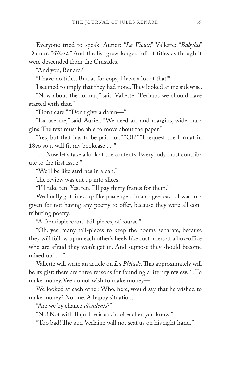Everyone tried to speak. Aurier: "*Le Vieux*;" Vallette: "*Babylas*" Dumur: "*Albert*." And the list grew longer, full of titles as though it were descended from the Crusades.

"And you, Renard?"

"I have no titles. But, as for copy, I have a lot of that!"

I seemed to imply that they had none. They looked at me sidewise.

"Now about the format," said Vallette. "Perhaps we should have started with that."

"Don't care." "Don't give a damn—"

"Excuse me," said Aurier. "We need air, and margins, wide margins. The text must be able to move about the paper."

"Yes, but that has to be paid for." "Oh!" "I request the format in 18vo so it will fit my bookcase . . ."

. . . "Now let's take a look at the contents. Everybody must contribute to the first issue."

"We'll be like sardines in a can."

The review was cut up into slices.

"I'll take ten. Yes, ten. I'll pay thirty francs for them."

We finally got lined up like passengers in a stage-coach. I was forgiven for not having any poetry to offer, because they were all contributing poetry.

"A frontispiece and tail-pieces, of course."

"Oh, yes, many tail-pieces to keep the poems separate, because they will follow upon each other's heels like customers at a box-office who are afraid they won't get in. And suppose they should become mixed up! . . ."

Vallette will write an article on *La Pléiade*. This approximately will be its gist: there are three reasons for founding a literary review. 1. To make money. We do not wish to make money—

We looked at each other. Who, here, would say that he wished to make money? No one. A happy situation.

"Are we by chance *décadents*?"

"No! Not with Baju. He is a schoolteacher, you know."

"Too bad! The god Verlaine will not seat us on his right hand."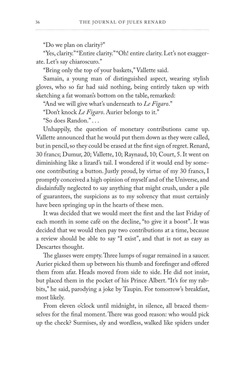"Do we plan on clarity?"

"Yes, clarity." "Entire clarity." "Oh! entire clarity. Let's not exaggerate. Let's say chiaroscuro."

"Bring only the top of your baskets," Vallette said.

Samain, a young man of distinguished aspect, wearing stylish gloves, who so far had said nothing, being entirely taken up with sketching a fat woman's bottom on the table, remarked:

"And we will give what's underneath to *Le Figaro*."

"Don't knock *Le Figaro*. Aurier belongs to it."

"So does Randon." . . .

Unhappily, the question of monetary contributions came up. Vallette announced that he would put them down as they were called, but in pencil, so they could be erased at the first sign of regret. Renard, 30 francs; Dumur, 20; Vallette, 10; Raynaud, 10; Court, 5. It went on diminishing like a lizard's tail. I wondered if it would end by someone contributing a button. Justly proud, by virtue of my 30 francs, I promptly conceived a high opinion of myself and of the Universe, and disdainfully neglected to say anything that might crush, under a pile of guarantees, the suspicions as to my solvency that must certainly have been springing up in the hearts of these men.

It was decided that we would meet the first and the last Friday of each month in some café on the decline, "to give it a boost". It was decided that we would then pay two contributions at a time, because a review should be able to say "I exist", and that is not as easy as Descartes thought.

The glasses were empty. Three lumps of sugar remained in a saucer. Aurier picked them up between his thumb and forefinger and offered them from afar. Heads moved from side to side. He did not insist, but placed them in the pocket of his Prince Albert. "It's for my rabbits," he said, parodying a joke by Taupin. For tomorrow's breakfast, most likely.

From eleven o'clock until midnight, in silence, all braced themselves for the final moment. There was good reason: who would pick up the check? Surmises, sly and wordless, walked like spiders under